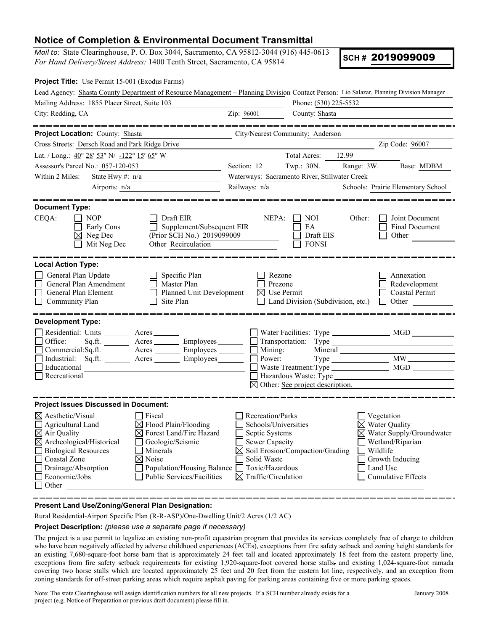## **Notice of Completion & Environmental Document Transmittal**

*Mail to:* State Clearinghouse, P. O. Box 3044, Sacramento, CA 95812-3044 (916) 445-0613 *For Hand Delivery/Street Address:* 1400 Tenth Street, Sacramento, CA 95814

**SCH #** 2019099009

| Project Title: Use Permit 15-001 (Exodus Farms)                                                                                                                                                                                                                                                                                                                                                                                   |                                                                                                                                                   |                                                                                  |                                    |                                                                                                                        |  |
|-----------------------------------------------------------------------------------------------------------------------------------------------------------------------------------------------------------------------------------------------------------------------------------------------------------------------------------------------------------------------------------------------------------------------------------|---------------------------------------------------------------------------------------------------------------------------------------------------|----------------------------------------------------------------------------------|------------------------------------|------------------------------------------------------------------------------------------------------------------------|--|
| Lead Agency: Shasta County Department of Resource Management - Planning Division Contact Person: Lio Salazar, Planning Division Manager                                                                                                                                                                                                                                                                                           |                                                                                                                                                   |                                                                                  |                                    |                                                                                                                        |  |
| Mailing Address: 1855 Placer Street, Suite 103                                                                                                                                                                                                                                                                                                                                                                                    | Phone: (530) 225-5532                                                                                                                             |                                                                                  |                                    |                                                                                                                        |  |
| City: Redding, CA                                                                                                                                                                                                                                                                                                                                                                                                                 | Zip: 96001                                                                                                                                        | County: Shasta                                                                   |                                    |                                                                                                                        |  |
|                                                                                                                                                                                                                                                                                                                                                                                                                                   |                                                                                                                                                   |                                                                                  |                                    |                                                                                                                        |  |
| Project Location: County: Shasta                                                                                                                                                                                                                                                                                                                                                                                                  |                                                                                                                                                   | City/Nearest Community: Anderson                                                 |                                    |                                                                                                                        |  |
| Cross Streets: Dersch Road and Park Ridge Drive                                                                                                                                                                                                                                                                                                                                                                                   |                                                                                                                                                   |                                                                                  |                                    | Zip Code: 96007                                                                                                        |  |
| Lat. / Long.: 40° 28′ 53" N/ -122° 15′ 65" W                                                                                                                                                                                                                                                                                                                                                                                      |                                                                                                                                                   | Total Acres:                                                                     | 12.99                              |                                                                                                                        |  |
| Assessor's Parcel No.: 057-120-053                                                                                                                                                                                                                                                                                                                                                                                                | Section: 12                                                                                                                                       | Twp.: 30N.                                                                       | Range: 3W.                         | Base: MDBM                                                                                                             |  |
| Within 2 Miles:<br>State Hwy #: $n/a$                                                                                                                                                                                                                                                                                                                                                                                             |                                                                                                                                                   | Waterways: Sacramento River, Stillwater Creek                                    |                                    |                                                                                                                        |  |
| Airports: n/a                                                                                                                                                                                                                                                                                                                                                                                                                     | Railways: n/a                                                                                                                                     |                                                                                  | Schools: Prairie Elementary School |                                                                                                                        |  |
|                                                                                                                                                                                                                                                                                                                                                                                                                                   |                                                                                                                                                   |                                                                                  |                                    |                                                                                                                        |  |
| <b>Document Type:</b><br>CEQA:<br><b>NOP</b><br>Draft EIR<br>Supplement/Subsequent EIR<br>Early Cons<br>(Prior SCH No.) 2019099009<br>$\boxtimes$ Neg Dec<br>Mit Neg Dec<br>Other Recirculation                                                                                                                                                                                                                                   | NEPA:                                                                                                                                             | NOI<br>EA<br>Draft EIS<br><b>FONSI</b>                                           | Other:                             | Joint Document<br>Final Document<br>Other                                                                              |  |
| <b>Local Action Type:</b><br>General Plan Update<br>Specific Plan<br>General Plan Amendment<br>Master Plan<br>General Plan Element<br>Planned Unit Development<br>Site Plan<br>Community Plan                                                                                                                                                                                                                                     |                                                                                                                                                   | Rezone<br>Prezone<br>$\boxtimes$ Use Permit<br>Land Division (Subdivision, etc.) |                                    | Annexation<br>Redevelopment<br>Coastal Permit<br>Other                                                                 |  |
| <b>Development Type:</b><br>Residential: Units ________ Acres_                                                                                                                                                                                                                                                                                                                                                                    |                                                                                                                                                   |                                                                                  |                                    |                                                                                                                        |  |
| Sq.ft. __________ Acres __________ Employees ________<br>Office:                                                                                                                                                                                                                                                                                                                                                                  |                                                                                                                                                   | $\Box$ Transportation: Type                                                      |                                    |                                                                                                                        |  |
| Commercial:Sq.ft. _______ Acres ________ Employees _______ __ Mining:                                                                                                                                                                                                                                                                                                                                                             |                                                                                                                                                   |                                                                                  |                                    |                                                                                                                        |  |
| Industrial: Sq.ft. ________ Acres ________ Employees _______<br>Educational                                                                                                                                                                                                                                                                                                                                                       | Power:                                                                                                                                            |                                                                                  |                                    |                                                                                                                        |  |
| Recreational                                                                                                                                                                                                                                                                                                                                                                                                                      | Hazardous Waste: Type                                                                                                                             |                                                                                  |                                    |                                                                                                                        |  |
|                                                                                                                                                                                                                                                                                                                                                                                                                                   | $\boxtimes$ Other: See project description.                                                                                                       |                                                                                  |                                    |                                                                                                                        |  |
|                                                                                                                                                                                                                                                                                                                                                                                                                                   |                                                                                                                                                   |                                                                                  |                                    |                                                                                                                        |  |
| <b>Project Issues Discussed in Document:</b>                                                                                                                                                                                                                                                                                                                                                                                      |                                                                                                                                                   |                                                                                  |                                    |                                                                                                                        |  |
| $\boxtimes$ Aesthetic/Visual<br>$\Box$ Fiscal<br>$\boxtimes$ Flood Plain/Flooding<br>Agricultural Land<br>$\boxtimes$ Air Quality<br>$\boxtimes$ Forest Land/Fire Hazard<br>Geologic/Seismic<br>$\boxtimes$ Archeological/Historical<br><b>Biological Resources</b><br>Minerals<br>Coastal Zone<br>$\boxtimes$ Noise<br>Drainage/Absorption<br>Population/Housing Balance<br>Public Services/Facilities<br>Economic/Jobs<br>Other | Recreation/Parks<br>Schools/Universities<br>Septic Systems<br>Sewer Capacity<br>Solid Waste<br>Toxic/Hazardous<br>$\boxtimes$ Traffic/Circulation | Soil Erosion/Compaction/Grading                                                  | Vegetation<br>Wildlife<br>Land Use | Water Quality<br>$\times$ Water Supply/Groundwater<br>Wetland/Riparian<br>Growth Inducing<br><b>Cumulative Effects</b> |  |

**Present Land Use/Zoning/General Plan Designation:**

Rural Residential-Airport Specific Plan (R-R-ASP)/One-Dwelling Unit/2 Acres (1/2 AC)

## **Project Description:** *(please use a separate page if necessary)*

The project is a use permit to legalize an existing non-profit equestrian program that provides its services completely free of charge to children who have been negatively affected by adverse childhood experiences (ACEs), exceptions from fire safety setback and zoning height standards for an existing 7,680-square-foot horse barn that is approximately 24 feet tall and located approximately 18 feet from the eastern property line, exceptions from fire safety setback requirements for existing 1,920-square-foot covered horse stalls, and existing 1,024-square-foot ramada covering two horse stalls which are located approximately 25 feet and 20 feet from the eastern lot line, respectively, and an exception from zoning standards for off-street parking areas which require asphalt paving for parking areas containing five or more parking spaces.

Note: The state Clearinghouse will assign identification numbers for all new projects. If a SCH number already exists for a project (e.g. Notice of Preparation or previous draft document) please fill in.